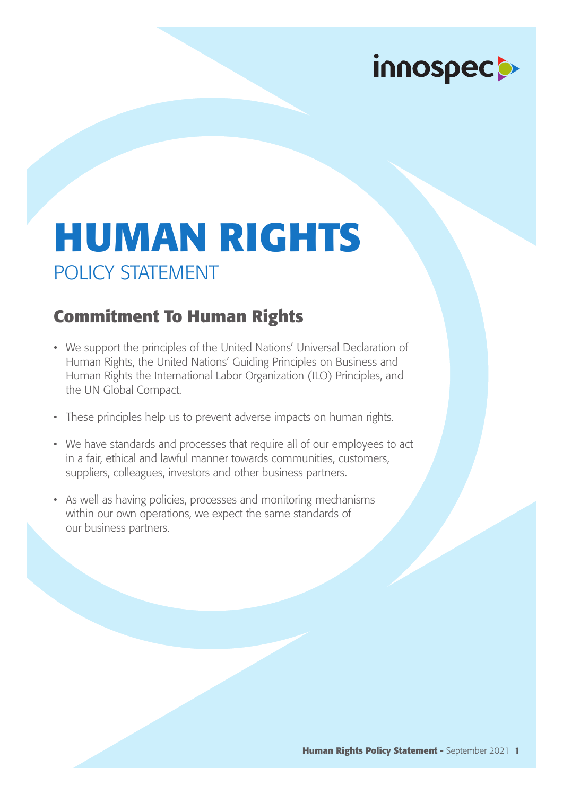# innospecto

## **HUMAN RIGHTS** POLICY STATEMENT

#### **Commitment To Human Rights**

- We support the principles of the United Nations' Universal Declaration of Human Rights, the United Nations' Guiding Principles on Business and Human Rights the International Labor Organization (ILO) Principles, and the UN Global Compact.
- These principles help us to prevent adverse impacts on human rights.
- We have standards and processes that require all of our employees to act in a fair, ethical and lawful manner towards communities, customers, suppliers, colleagues, investors and other business partners.
- As well as having policies, processes and monitoring mechanisms within our own operations, we expect the same standards of our business partners.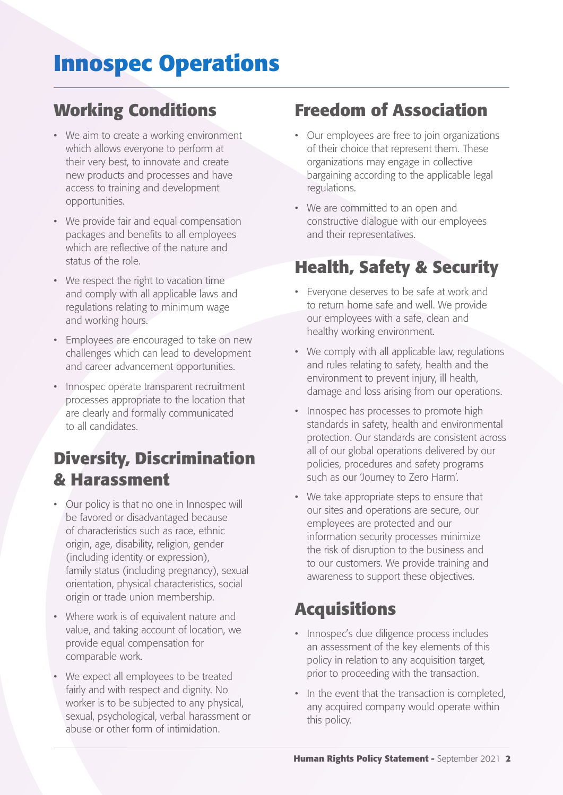### **Innospec Operations**

#### **Working Conditions**

- We aim to create a working environment which allows everyone to perform at their very best, to innovate and create new products and processes and have access to training and development opportunities.
- We provide fair and equal compensation packages and benefits to all employees which are reflective of the nature and status of the role.
- We respect the right to vacation time and comply with all applicable laws and regulations relating to minimum wage and working hours.
- Employees are encouraged to take on new challenges which can lead to development and career advancement opportunities.
- Innospec operate transparent recruitment processes appropriate to the location that are clearly and formally communicated to all candidates.

#### **Diversity, Discrimination & Harassment**

- Our policy is that no one in Innospec will be favored or disadvantaged because of characteristics such as race, ethnic origin, age, disability, religion, gender (including identity or expression), family status (including pregnancy), sexual orientation, physical characteristics, social origin or trade union membership.
- Where work is of equivalent nature and value, and taking account of location, we provide equal compensation for comparable work.
- We expect all employees to be treated fairly and with respect and dignity. No worker is to be subjected to any physical, sexual, psychological, verbal harassment or abuse or other form of intimidation.

#### **Freedom of Association**

- Our employees are free to join organizations of their choice that represent them. These organizations may engage in collective bargaining according to the applicable legal regulations.
- We are committed to an open and constructive dialogue with our employees and their representatives.

#### **Health, Safety & Security**

- Everyone deserves to be safe at work and to return home safe and well. We provide our employees with a safe, clean and healthy working environment.
- We comply with all applicable law, regulations and rules relating to safety, health and the environment to prevent injury, ill health, damage and loss arising from our operations.
- Innospec has processes to promote high standards in safety, health and environmental protection. Our standards are consistent across all of our global operations delivered by our policies, procedures and safety programs such as our 'Journey to Zero Harm'.
- We take appropriate steps to ensure that our sites and operations are secure, our employees are protected and our information security processes minimize the risk of disruption to the business and to our customers. We provide training and awareness to support these objectives.

#### **Acquisitions**

- Innospec's due diligence process includes an assessment of the key elements of this policy in relation to any acquisition target, prior to proceeding with the transaction.
- In the event that the transaction is completed, any acquired company would operate within this policy.